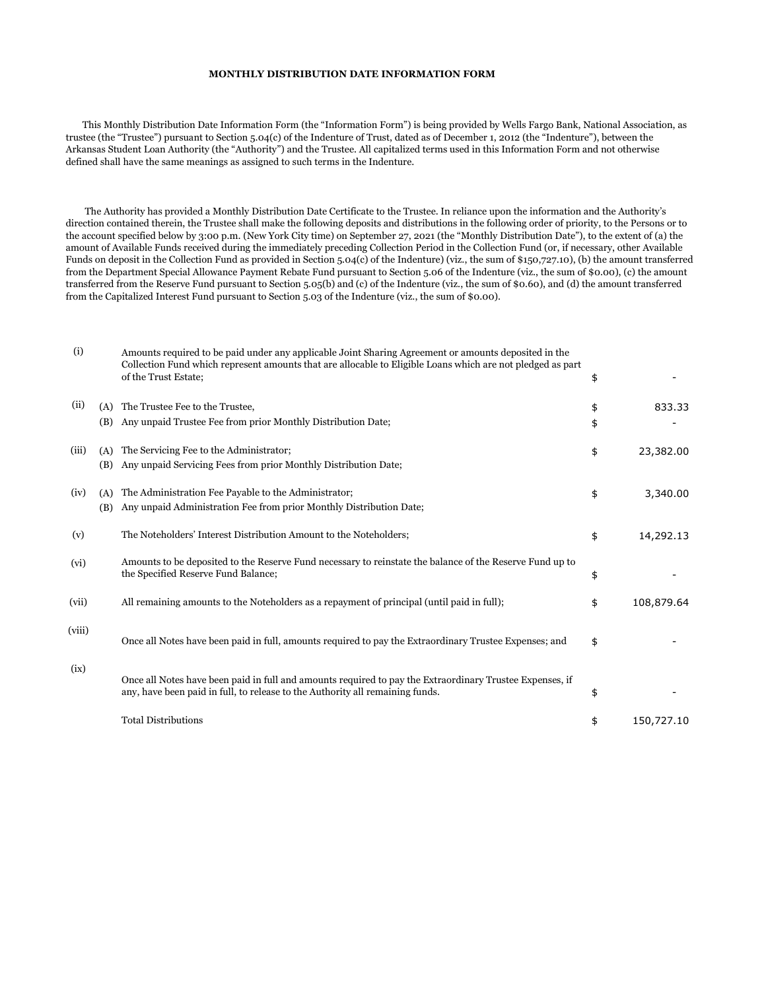## MONTHLY DISTRIBUTION DATE INFORMATION FORM

 This Monthly Distribution Date Information Form (the "Information Form") is being provided by Wells Fargo Bank, National Association, as trustee (the "Trustee") pursuant to Section 5.04(c) of the Indenture of Trust, dated as of December 1, 2012 (the "Indenture"), between the Arkansas Student Loan Authority (the "Authority") and the Trustee. All capitalized terms used in this Information Form and not otherwise defined shall have the same meanings as assigned to such terms in the Indenture.

 The Authority has provided a Monthly Distribution Date Certificate to the Trustee. In reliance upon the information and the Authority's direction contained therein, the Trustee shall make the following deposits and distributions in the following order of priority, to the Persons or to the account specified below by 3:00 p.m. (New York City time) on September 27, 2021 (the "Monthly Distribution Date"), to the extent of (a) the amount of Available Funds received during the immediately preceding Collection Period in the Collection Fund (or, if necessary, other Available Funds on deposit in the Collection Fund as provided in Section 5.04(c) of the Indenture) (viz., the sum of \$150,727.10), (b) the amount transferred from the Department Special Allowance Payment Rebate Fund pursuant to Section 5.06 of the Indenture (viz., the sum of \$0.00), (c) the amount transferred from the Reserve Fund pursuant to Section 5.05(b) and (c) of the Indenture (viz., the sum of \$0.60), and (d) the amount transferred from the Capitalized Interest Fund pursuant to Section 5.03 of the Indenture (viz., the sum of \$0.00).

| (i)    |            | Amounts required to be paid under any applicable Joint Sharing Agreement or amounts deposited in the<br>Collection Fund which represent amounts that are allocable to Eligible Loans which are not pledged as part<br>of the Trust Estate; | \$       |            |
|--------|------------|--------------------------------------------------------------------------------------------------------------------------------------------------------------------------------------------------------------------------------------------|----------|------------|
| (ii)   | (A)<br>(B) | The Trustee Fee to the Trustee,<br>Any unpaid Trustee Fee from prior Monthly Distribution Date;                                                                                                                                            | \$<br>\$ | 833.33     |
| (iii)  | (A)<br>(B) | The Servicing Fee to the Administrator;<br>Any unpaid Servicing Fees from prior Monthly Distribution Date;                                                                                                                                 | \$       | 23,382.00  |
| (iv)   | (A)<br>(B) | The Administration Fee Payable to the Administrator;<br>Any unpaid Administration Fee from prior Monthly Distribution Date;                                                                                                                | \$       | 3,340.00   |
| (v)    |            | The Noteholders' Interest Distribution Amount to the Noteholders;                                                                                                                                                                          | \$       | 14,292.13  |
| (vi)   |            | Amounts to be deposited to the Reserve Fund necessary to reinstate the balance of the Reserve Fund up to<br>the Specified Reserve Fund Balance;                                                                                            | \$       |            |
| (vii)  |            | All remaining amounts to the Noteholders as a repayment of principal (until paid in full);                                                                                                                                                 | \$       | 108,879.64 |
| (viii) |            | Once all Notes have been paid in full, amounts required to pay the Extraordinary Trustee Expenses; and                                                                                                                                     | \$       |            |
| (ix)   |            | Once all Notes have been paid in full and amounts required to pay the Extraordinary Trustee Expenses, if<br>any, have been paid in full, to release to the Authority all remaining funds.                                                  | \$       |            |
|        |            | <b>Total Distributions</b>                                                                                                                                                                                                                 | \$       | 150,727.10 |